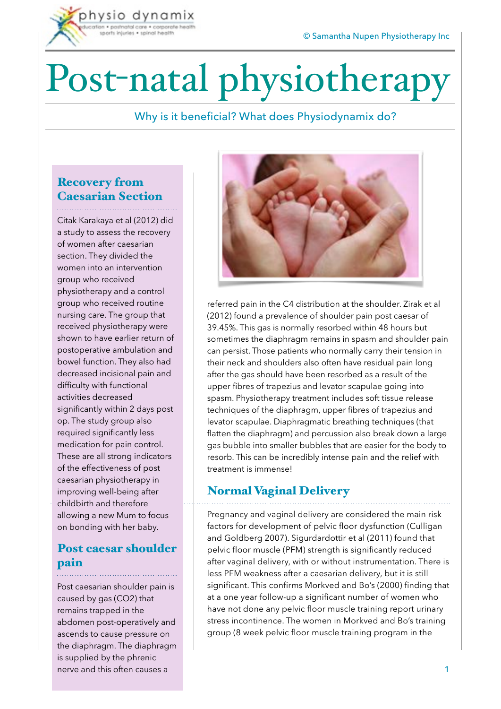# Post-natal physiotherapy

#### Why is it beneficial? What does Physiodynamix do?

### Recovery from Caesarian Section

hysio dynamix n · postagial care · corporate sports injuries . spinal health

Citak Karakaya et al (2012) did a study to assess the recovery of women after caesarian section. They divided the women into an intervention group who received physiotherapy and a control group who received routine nursing care. The group that received physiotherapy were shown to have earlier return of postoperative ambulation and bowel function. They also had decreased incisional pain and difficulty with functional activities decreased significantly within 2 days post op. The study group also required significantly less medication for pain control. These are all strong indicators of the effectiveness of post caesarian physiotherapy in improving well-being after childbirth and therefore allowing a new Mum to focus on bonding with her baby.

#### Post caesar shoulder pain

Post caesarian shoulder pain is caused by gas (CO2) that remains trapped in the abdomen post-operatively and ascends to cause pressure on the diaphragm. The diaphragm is supplied by the phrenic nerve and this often causes a



referred pain in the C4 distribution at the shoulder. Zirak et al (2012) found a prevalence of shoulder pain post caesar of 39.45%. This gas is normally resorbed within 48 hours but sometimes the diaphragm remains in spasm and shoulder pain can persist. Those patients who normally carry their tension in their neck and shoulders also often have residual pain long after the gas should have been resorbed as a result of the upper fibres of trapezius and levator scapulae going into spasm. Physiotherapy treatment includes soft tissue release techniques of the diaphragm, upper fibres of trapezius and levator scapulae. Diaphragmatic breathing techniques (that flatten the diaphragm) and percussion also break down a large gas bubble into smaller bubbles that are easier for the body to resorb. This can be incredibly intense pain and the relief with treatment is immense!

#### Normal Vaginal Delivery

Pregnancy and vaginal delivery are considered the main risk factors for development of pelvic floor dysfunction (Culligan and Goldberg 2007). Sigurdardottir et al (2011) found that pelvic floor muscle (PFM) strength is significantly reduced after vaginal delivery, with or without instrumentation. There is less PFM weakness after a caesarian delivery, but it is still significant. This confirms Morkved and Bo's (2000) finding that at a one year follow-up a significant number of women who have not done any pelvic floor muscle training report urinary stress incontinence. The women in Morkved and Bo's training group (8 week pelvic floor muscle training program in the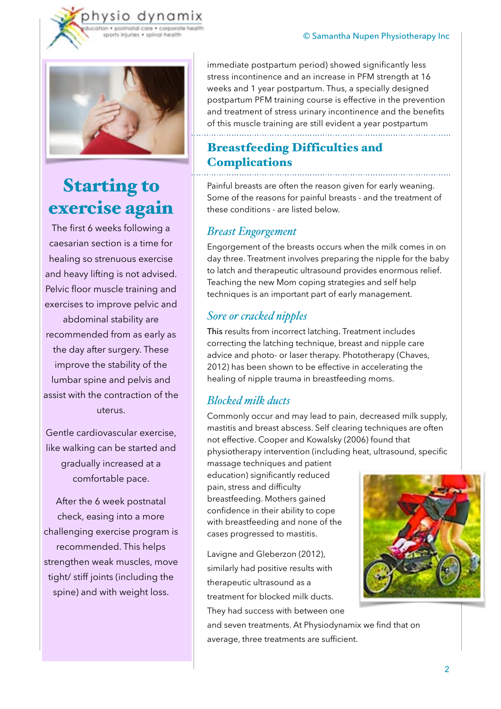

ysio

dynamix

## Starting to exercise again

The first 6 weeks following a caesarian section is a time for healing so strenuous exercise and heavy lifting is not advised. Pelvic floor muscle training and exercises to improve pelvic and abdominal stability are recommended from as early as the day after surgery. These improve the stability of the lumbar spine and pelvis and assist with the contraction of the uterus.

Gentle cardiovascular exercise, like walking can be started and gradually increased at a comfortable pace.

After the 6 week postnatal check, easing into a more challenging exercise program is recommended. This helps strengthen weak muscles, move tight/ stiff joints (including the spine) and with weight loss.

immediate postpartum period) showed significantly less stress incontinence and an increase in PFM strength at 16 weeks and 1 year postpartum. Thus, a specially designed postpartum PFM training course is effective in the prevention and treatment of stress urinary incontinence and the benefits of this muscle training are still evident a year postpartum

#### Breastfeeding Difficulties and **Complications**

Painful breasts are often the reason given for early weaning. Some of the reasons for painful breasts - and the treatment of these conditions - are listed below.

#### *Breast Engorgement*

Engorgement of the breasts occurs when the milk comes in on day three. Treatment involves preparing the nipple for the baby to latch and therapeutic ultrasound provides enormous relief. Teaching the new Mom coping strategies and self help techniques is an important part of early management.

#### *Sore or cracked nipples*

This results from incorrect latching. Treatment includes correcting the latching technique, breast and nipple care advice and photo- or laser therapy. Phototherapy (Chaves, 2012) has been shown to be effective in accelerating the healing of nipple trauma in breastfeeding moms.

#### *Blocked milk ducts*

Commonly occur and may lead to pain, decreased milk supply, mastitis and breast abscess. Self clearing techniques are often not effective. Cooper and Kowalsky (2006) found that physiotherapy intervention (including heat, ultrasound, specific

massage techniques and patient education) significantly reduced pain, stress and difficulty breastfeeding. Mothers gained confidence in their ability to cope with breastfeeding and none of the cases progressed to mastitis.

Lavigne and Gleberzon (2012), similarly had positive results with therapeutic ultrasound as a treatment for blocked milk ducts. They had success with between one

and seven treatments. At Physiodynamix we find that on average, three treatments are sufficient.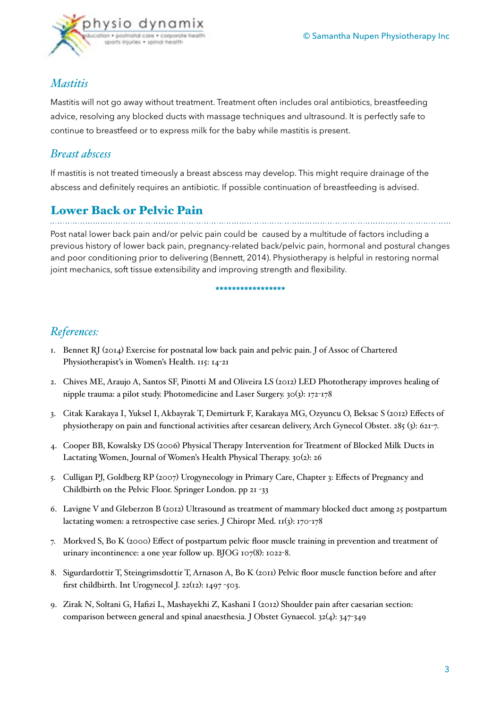

#### *Mastitis*

Mastitis will not go away without treatment. Treatment often includes oral antibiotics, breastfeeding advice, resolving any blocked ducts with massage techniques and ultrasound. It is perfectly safe to continue to breastfeed or to express milk for the baby while mastitis is present.

#### *Breast abscess*

If mastitis is not treated timeously a breast abscess may develop. This might require drainage of the abscess and definitely requires an antibiotic. If possible continuation of breastfeeding is advised.

## Lower Back or Pelvic Pain

Post natal lower back pain and/or pelvic pain could be caused by a multitude of factors including a previous history of lower back pain, pregnancy-related back/pelvic pain, hormonal and postural changes and poor conditioning prior to delivering (Bennett, 2014). Physiotherapy is helpful in restoring normal joint mechanics, soft tissue extensibility and improving strength and flexibility.

**\*\*\*\*\*\*\*\*\*\*\*\*\*\*\*\*\*** 

#### *References:*

- 1. Bennet RJ (2014) Exercise for postnatal low back pain and pelvic pain. J of Assoc of Chartered Physiotherapist's in Women's Health. 115: 14-21
- 2. Chives ME, Araujo A, Santos SF, Pinotti M and Oliveira LS (2012) LED Phototherapy improves healing of nipple trauma: a pilot study. Photomedicine and Laser Surgery. 30(3): 172-178
- 3. Citak Karakaya I, Yuksel I, Akbayrak T, Demirturk F, Karakaya MG, Ozyuncu O, Beksac S (2012) Effects of physiotherapy on pain and functional activities after cesarean delivery, Arch Gynecol Obstet. 285 (3): 621-7.
- 4. Cooper BB, Kowalsky DS (2006) Physical Therapy Intervention for Treatment of Blocked Milk Ducts in Lactating Women, Journal of Women's Health Physical Therapy. 30(2): 26
- 5. Culligan PJ, Goldberg RP (2007) Urogynecology in Primary Care, Chapter 3: Effects of Pregnancy and Childbirth on the Pelvic Floor. Springer London. pp 21 -33
- 6. Lavigne V and Gleberzon B (2012) Ultrasound as treatment of mammary blocked duct among 25 postpartum lactating women: a retrospective case series. J Chiropr Med. 11(3): 170-178
- 7. Morkved S, Bo K (2000) Effect of postpartum pelvic floor muscle training in prevention and treatment of urinary incontinence: a one year follow up. BJOG 107(8): 1022-8.
- 8. Sigurdardottir T, Steingrimsdottir T, Arnason A, Bo K (2011) Pelvic floor muscle function before and after first childbirth. Int Urogynecol J. 22(12): 1497 -503.
- 9. Zirak N, Soltani G, Hafizi L, Mashayekhi Z, Kashani I (2012) Shoulder pain after caesarian section: comparison between general and spinal anaesthesia. J Obstet Gynaecol. 32(4): 347-349